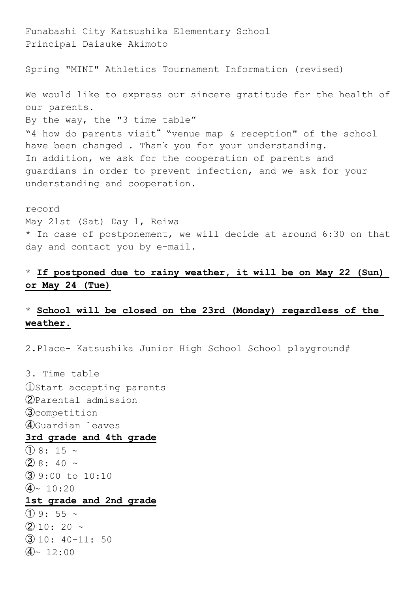Principal Daisuke Akimoto Spring "MINI" Athletics Tournament Information (revised) We would like to express our sincere gratitude for the health of our parents. By the way, the "3 time table" "4 how do parents visit" "venue map & reception" of the school have been changed . Thank you for your understanding. In addition, we ask for the cooperation of parents and guardians in order to prevent infection, and we ask for your understanding and cooperation.

Funabashi City Katsushika Elementary School

record May 21st (Sat) Day 1, Reiwa \* In case of postponement, we will decide at around 6:30 on that day and contact you by e-mail.

## \* **If postponed due to rainy weather, it will be on May 22 (Sun) or May 24 (Tue)**

# \* **School will be closed on the 23rd (Monday) regardless of the weather.**

2.Place- Katsushika Junior High School School playground#

3. Time table ①Start accepting parents ②Parental admission ③competition ④Guardian leaves **3rd grade and 4th grade**  $(1)$  8: 15 ~  $(2)$  8: 40 ~  $\overline{3}$  9:00 to 10:10  $(4)$ ~ 10:20 **1st grade and 2nd grade**  $(1)$  9: 55  $\sim$  $(2)$  10: 20 ~  $\overline{3}$  10: 40-11: 50  $\big) \sim 12:00$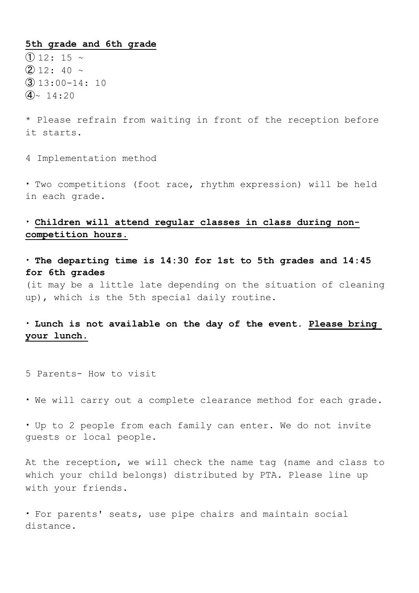#### **5th grade and 6th grade**

 $(1)$  12: 15  $\sim$  $(2)$  12: 40  $\sim$  $\overline{3}$  13:00-14: 10  $(4)$ ~ 14:20

\* Please refrain from waiting in front of the reception before it starts.

4 Implementation method

・ Two competitions (foot race, rhythm expression) will be held in each grade.

## ・ **Children will attend regular classes in class during noncompetition hours.**

・ **The departing time is 14:30 for 1st to 5th grades and 14:45 for 6th grades**

(it may be a little late depending on the situation of cleaning up), which is the 5th special daily routine.

### ・ **Lunch is not available on the day of the event. Please bring your lunch.**

5 Parents- How to visit

・ We will carry out a complete clearance method for each grade.

・ Up to 2 people from each family can enter. We do not invite guests or local people.

At the reception, we will check the name tag (name and class to which your child belongs) distributed by PTA. Please line up with your friends.

・ For parents' seats, use pipe chairs and maintain social distance.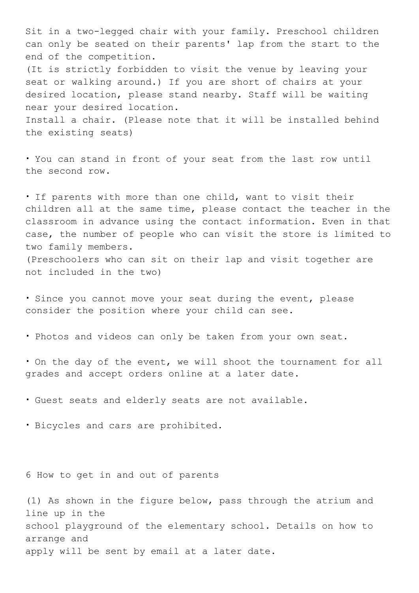Sit in a two-legged chair with your family. Preschool children can only be seated on their parents' lap from the start to the end of the competition.

(It is strictly forbidden to visit the venue by leaving your seat or walking around.) If you are short of chairs at your desired location, please stand nearby. Staff will be waiting near your desired location.

Install a chair. (Please note that it will be installed behind the existing seats)

・ You can stand in front of your seat from the last row until the second row.

・ If parents with more than one child, want to visit their children all at the same time, please contact the teacher in the classroom in advance using the contact information. Even in that case, the number of people who can visit the store is limited to two family members. (Preschoolers who can sit on their lap and visit together are not included in the two)

・ Since you cannot move your seat during the event, please consider the position where your child can see.

・ Photos and videos can only be taken from your own seat.

・ On the day of the event, we will shoot the tournament for all grades and accept orders online at a later date.

・ Guest seats and elderly seats are not available.

・ Bicycles and cars are prohibited.

6 How to get in and out of parents

(1) As shown in the figure below, pass through the atrium and line up in the school playground of the elementary school. Details on how to arrange and apply will be sent by email at a later date.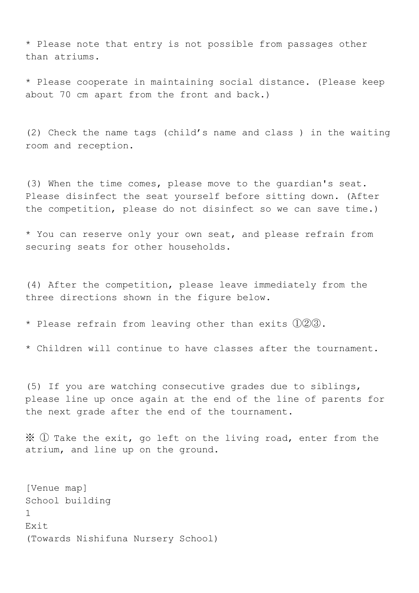\* Please note that entry is not possible from passages other than atriums.

\* Please cooperate in maintaining social distance. (Please keep about 70 cm apart from the front and back.)

(2) Check the name tags (child's name and class ) in the waiting room and reception.

(3) When the time comes, please move to the guardian's seat. Please disinfect the seat yourself before sitting down. (After the competition, please do not disinfect so we can save time.)

\* You can reserve only your own seat, and please refrain from securing seats for other households.

(4) After the competition, please leave immediately from the three directions shown in the figure below.

\* Please refrain from leaving other than exits  $(1)(2)(3)$ .

\* Children will continue to have classes after the tournament.

(5) If you are watching consecutive grades due to siblings, please line up once again at the end of the line of parents for the next grade after the end of the tournament.

 $\mathcal{X}$   $\mathbb{O}$  Take the exit, go left on the living road, enter from the atrium, and line up on the ground.

[Venue map] School building 1 Exit (Towards Nishifuna Nursery School)